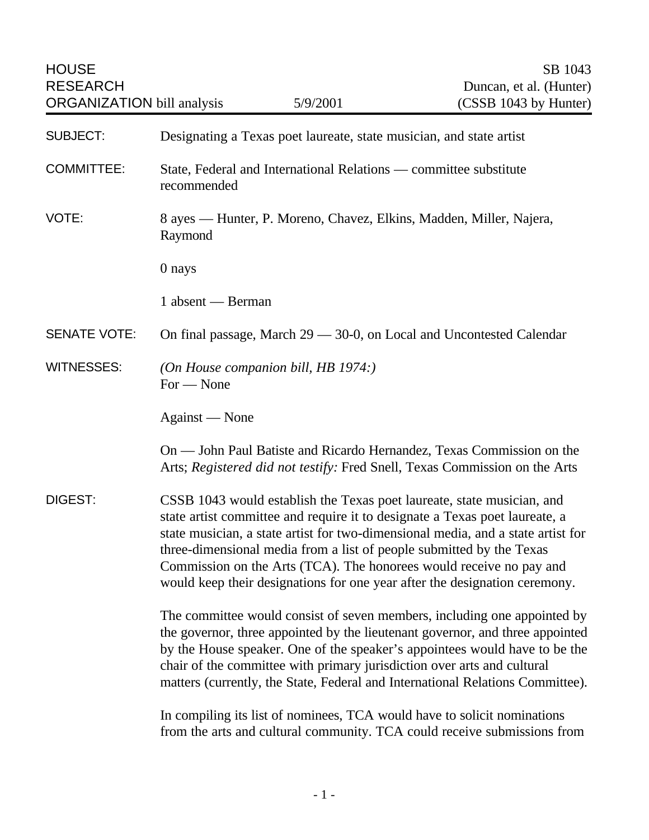HOUSE SB 1043 RESEARCH Duncan, et al. (Hunter) ORGANIZATION bill analysis  $5/9/2001$  (CSSB 1043 by Hunter) SUBJECT: Designating a Texas poet laureate, state musician, and state artist COMMITTEE: State, Federal and International Relations — committee substitute recommended VOTE: 8 ayes — Hunter, P. Moreno, Chavez, Elkins, Madden, Miller, Najera, Raymond 0 nays 1 absent — Berman SENATE VOTE: On final passage, March 29 — 30-0, on Local and Uncontested Calendar WITNESSES: *(On House companion bill, HB 1974:)* For — None Against — None On — John Paul Batiste and Ricardo Hernandez, Texas Commission on the Arts; *Registered did not testify:* Fred Snell, Texas Commission on the Arts DIGEST: CSSB 1043 would establish the Texas poet laureate, state musician, and state artist committee and require it to designate a Texas poet laureate, a state musician, a state artist for two-dimensional media, and a state artist for three-dimensional media from a list of people submitted by the Texas Commission on the Arts (TCA). The honorees would receive no pay and would keep their designations for one year after the designation ceremony. The committee would consist of seven members, including one appointed by the governor, three appointed by the lieutenant governor, and three appointed by the House speaker. One of the speaker's appointees would have to be the chair of the committee with primary jurisdiction over arts and cultural matters (currently, the State, Federal and International Relations Committee). In compiling its list of nominees, TCA would have to solicit nominations from the arts and cultural community. TCA could receive submissions from